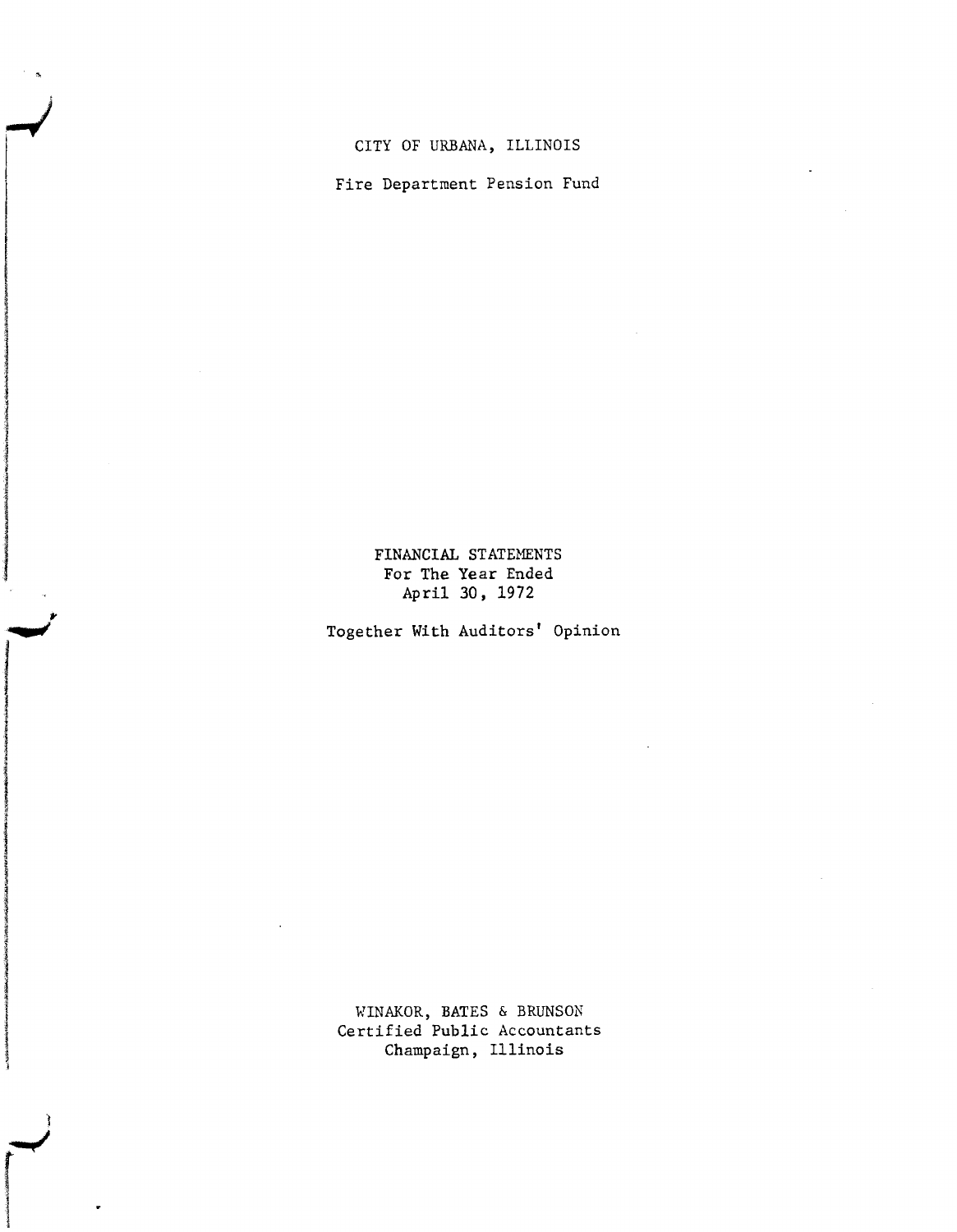Fire Department Pension Fund

I

inishimmettiin

están frances

la serie de la construction de la construction de la construction de la construction de la construction de la

IIIIIlJIIlI!IIi(

1

,.

## FINANCIAL STATEMENTS For The Year Ended April 30, 1972

Together With Auditors' Opinion

WINAKOR, BATES & BRUNSON Certified Public Accountants Champaign, Illinois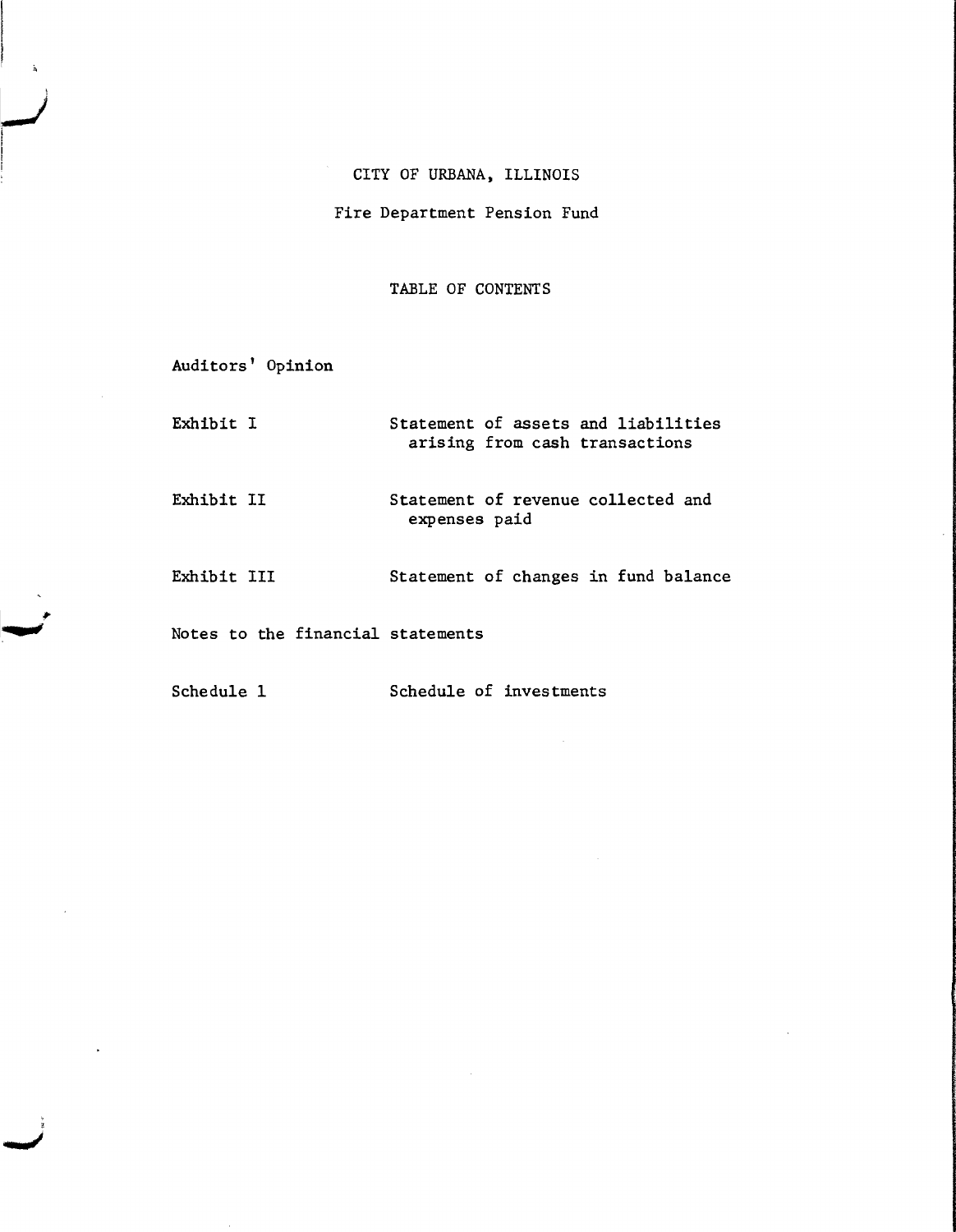# Fire Department Pension Fund

## TABLE OF CONTENTS

| Auditors' Opinion                 |                                                                       |
|-----------------------------------|-----------------------------------------------------------------------|
| Exhibit I                         | Statement of assets and liabilities<br>arising from cash transactions |
| Exhibit II                        | Statement of revenue collected and<br>expenses paid                   |
| Exhibit III                       | Statement of changes in fund balance                                  |
| Notes to the financial statements |                                                                       |
| Schedule 1                        | Schedule of investments                                               |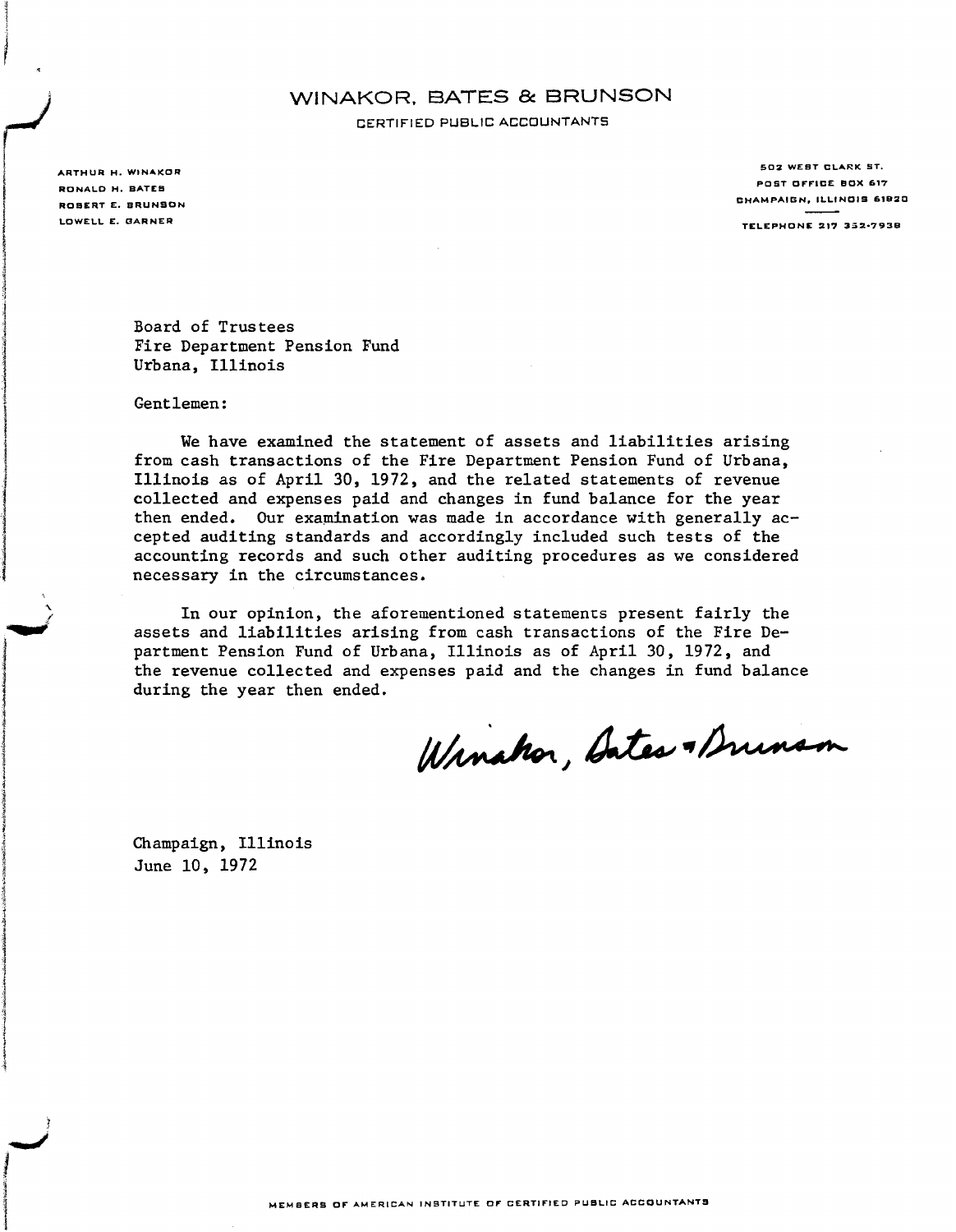## WINAKOR. BATES & BRUNSON CERTIFIED PUBLIC ACCOUNTANTS

ARTHUR H. WINAKOR RONALD H. BATES ROSERT E. BRUNSON LOWELL E. DARNER

I,

in comment . !

#2dinesiumi#

1

iaitiara espaintera

ja antikapung lan

502 WEST CLARK ST. POST OFFICE BOX 617 CHAMPAIGN, ILLINOIS 6.B20 **TELEPHONE 217 352-7938** 

Board of Trustees Fire Department Pension Fund Urbana, Illinois

Gentlemen:

We have examined the statement of assets and liabilities arising from cash transactions of the Fire Department Pension Fund of Urbana, Illinois as of April 30, 1972, and the related statements of revenue collected and expenses paid and changes in fund balance for the year then ended. Our examination was made in accordance with generally accepted auditing standards and accordingly included such tests of the accounting records and such other auditing procedures as we considered necessary in the circumstances.

In our opinion, the aforementioned statements present fairly the assets and liabilities arising from cash transactions of the Fire Department Pension Fund of Urbana, Illinois as of April 30, 1972, and the revenue collected and expenses paid and the changes in fund balance during the year then ended.

Winshor, Bates & Drunson

Champaign, Illinois June 10, 1972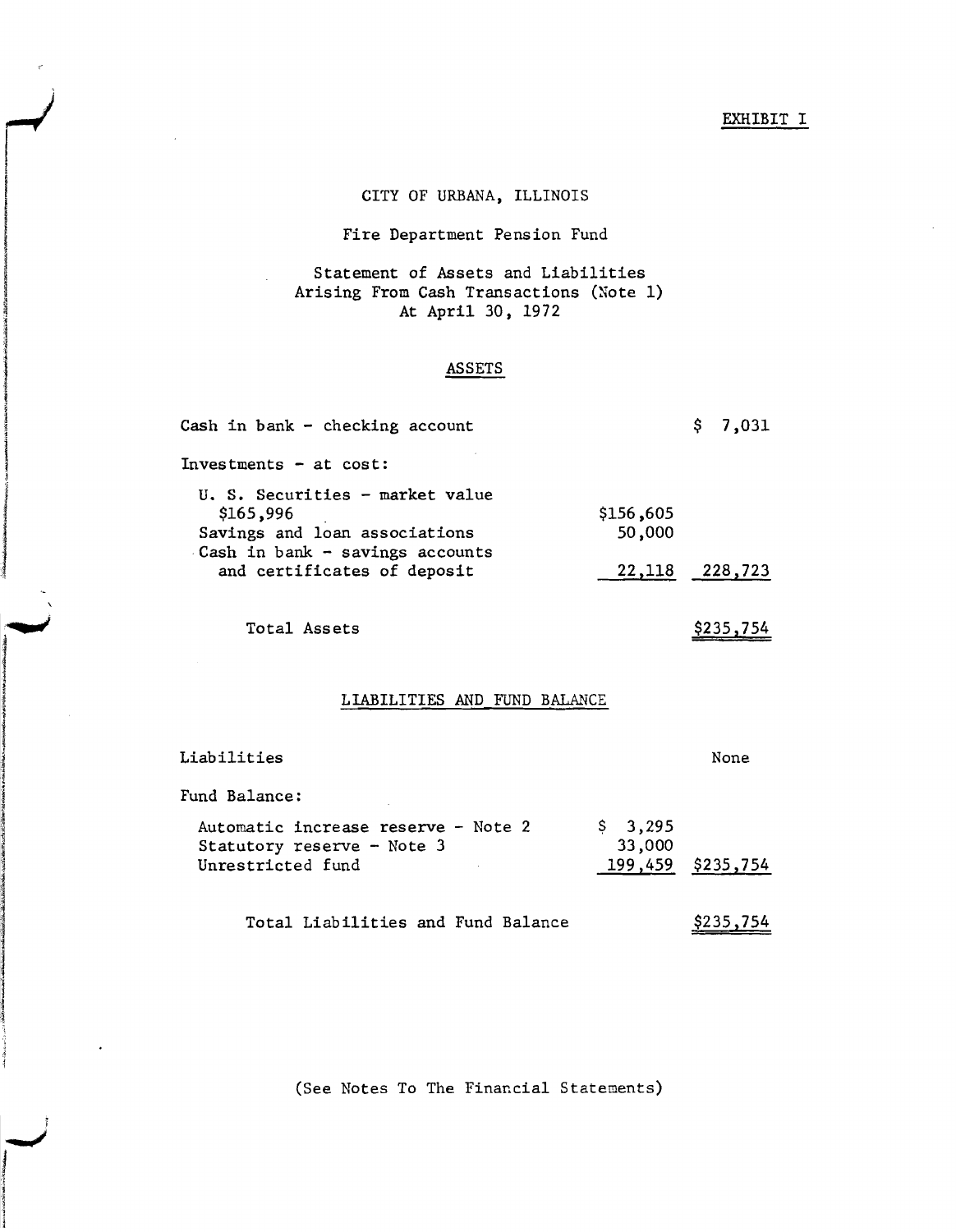#### EXHIBIT I

\$235,754

### CITY OF URBANA, ILLINOIS

### Fire Department Pension Fund

### Statement of Assets and Liabilities Arising From Cash Transactions (Note 1) At April 30, 1972

#### ASSETS

| Cash in bank - checking account                                                                                  |                     | \$7,031 |
|------------------------------------------------------------------------------------------------------------------|---------------------|---------|
| Investments $-$ at cost:                                                                                         |                     |         |
| U. S. Securities - market value<br>\$165,996<br>Savings and loan associations<br>Cash in bank - savings accounts | \$156,605<br>50,000 |         |
| and certificates of deposit                                                                                      | 22,118 228,723      |         |
|                                                                                                                  |                     |         |

Total Assets

monday

LIABILITIES AND FUND BALANCE

| Liabilities                                                                            |                   | None              |
|----------------------------------------------------------------------------------------|-------------------|-------------------|
| Fund Balance:                                                                          |                   |                   |
| Automatic increase reserve - Note 2<br>Statutory reserve - Note 3<br>Unrestricted fund | \$3,295<br>33,000 | 199,459 \$235,754 |
| Total Liabilities and Fund Balance                                                     |                   | \$235,754         |

(See Notes To The Financial Statements)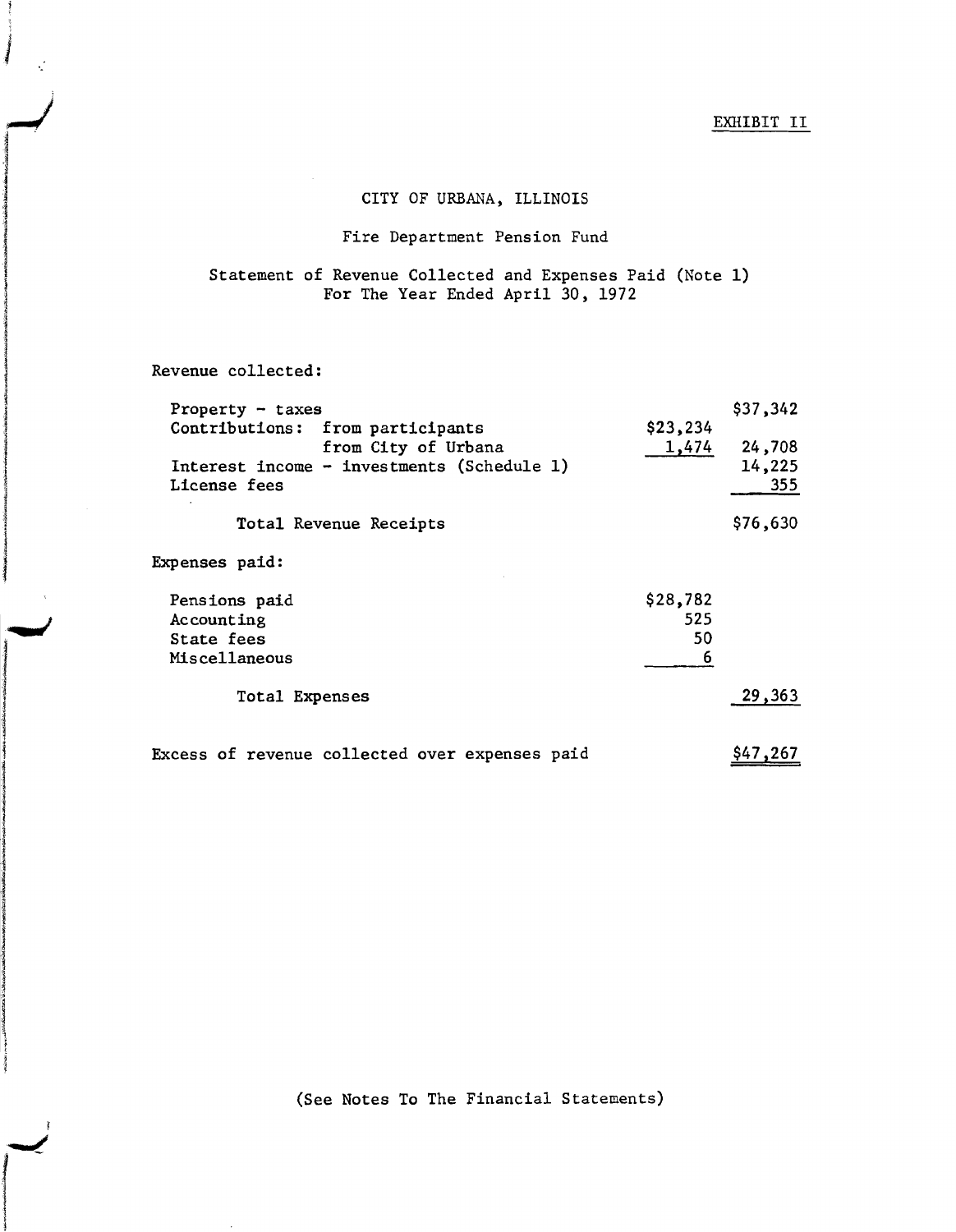### Fire Department Pension Fund

## Statement of Revenue Collected and Expenses Paid (Note 1) For The Year Ended April 30, 1972

Revenue collected:

I '.

**The Media** 

 $\mathcal{F}^{\prime}$ 

!

| Property $-$ taxes                             |          | \$37,342 |
|------------------------------------------------|----------|----------|
| Contributions: from participants               | \$23,234 |          |
| from City of Urbana                            | 1,474    | 24,708   |
| Interest income - investments (Schedule 1)     |          | 14,225   |
| License fees                                   |          | 355      |
| Total Revenue Receipts                         |          | \$76,630 |
| <b>Expenses paid:</b>                          |          |          |
| Pensions paid                                  | \$28,782 |          |
| Accounting                                     | 525      |          |
| State fees                                     | 50       |          |
| Miscellaneous                                  | 6        |          |
| <b>Total Expenses</b>                          |          | 29,363   |
| Excess of revenue collected over expenses paid |          | \$47,267 |

(See Notes To The Financial Statements)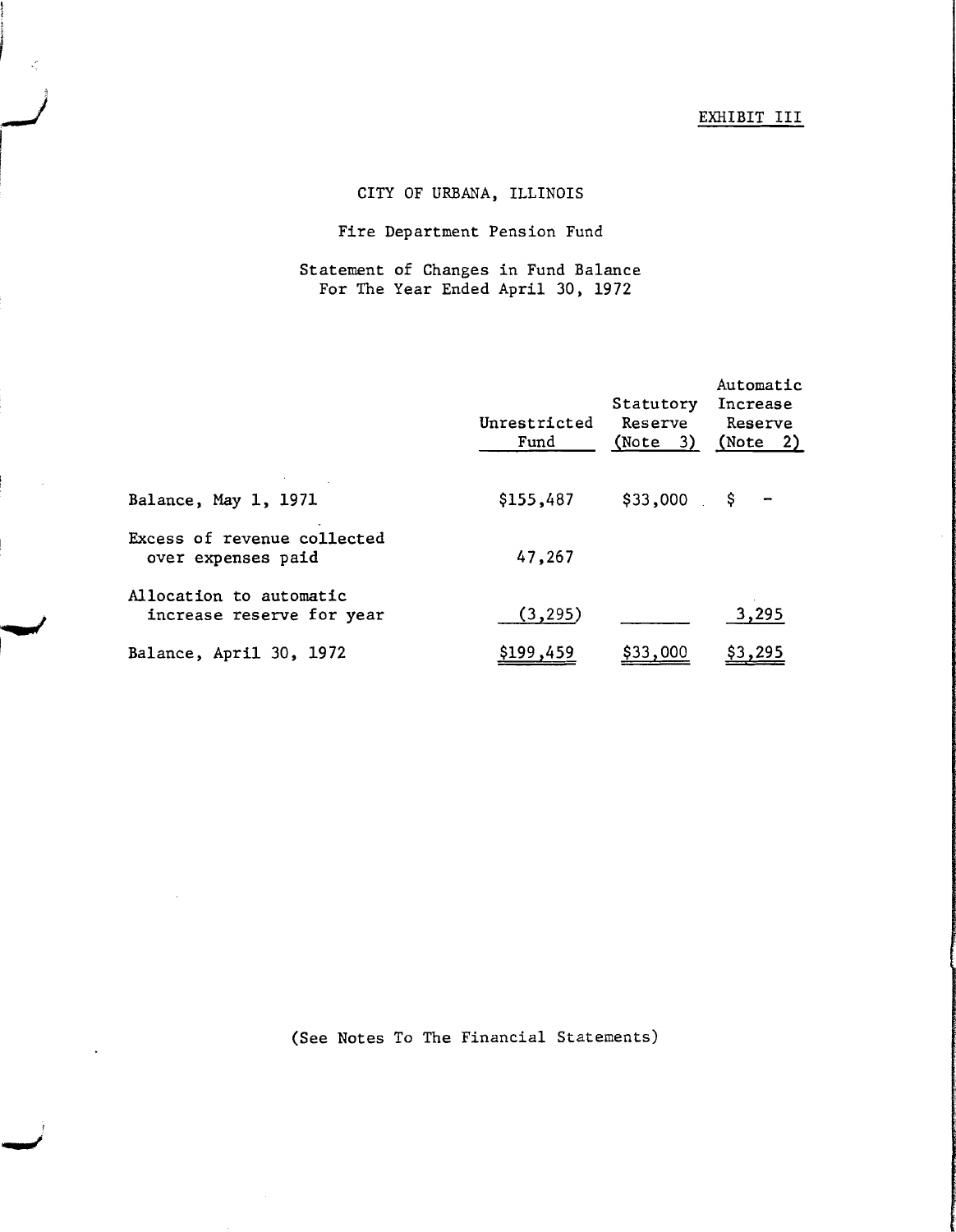# EXHIBIT III

# CITY OF URBANA, ILLINOIS

I

## Fire Department Pension Fund

## Statement of Changes in Fund Balance For The Year Ended April 30, 1972

|                                                      | Unrestricted<br>Fund | Statutory<br>Reserve<br>(Note 3) | Automatic<br>Increase<br>Reserve<br>(Note 2) |
|------------------------------------------------------|----------------------|----------------------------------|----------------------------------------------|
| Balance, May 1, 1971                                 | \$155,487            | \$33,000                         | \$.                                          |
| Excess of revenue collected<br>over expenses paid    | 47,267               |                                  |                                              |
| Allocation to automatic<br>increase reserve for year | (3, 295)             |                                  | 3,295                                        |
| Balance, April 30, 1972                              | \$199,459            | \$33,000                         | \$3,295                                      |

(See Notes To The Financial Statements)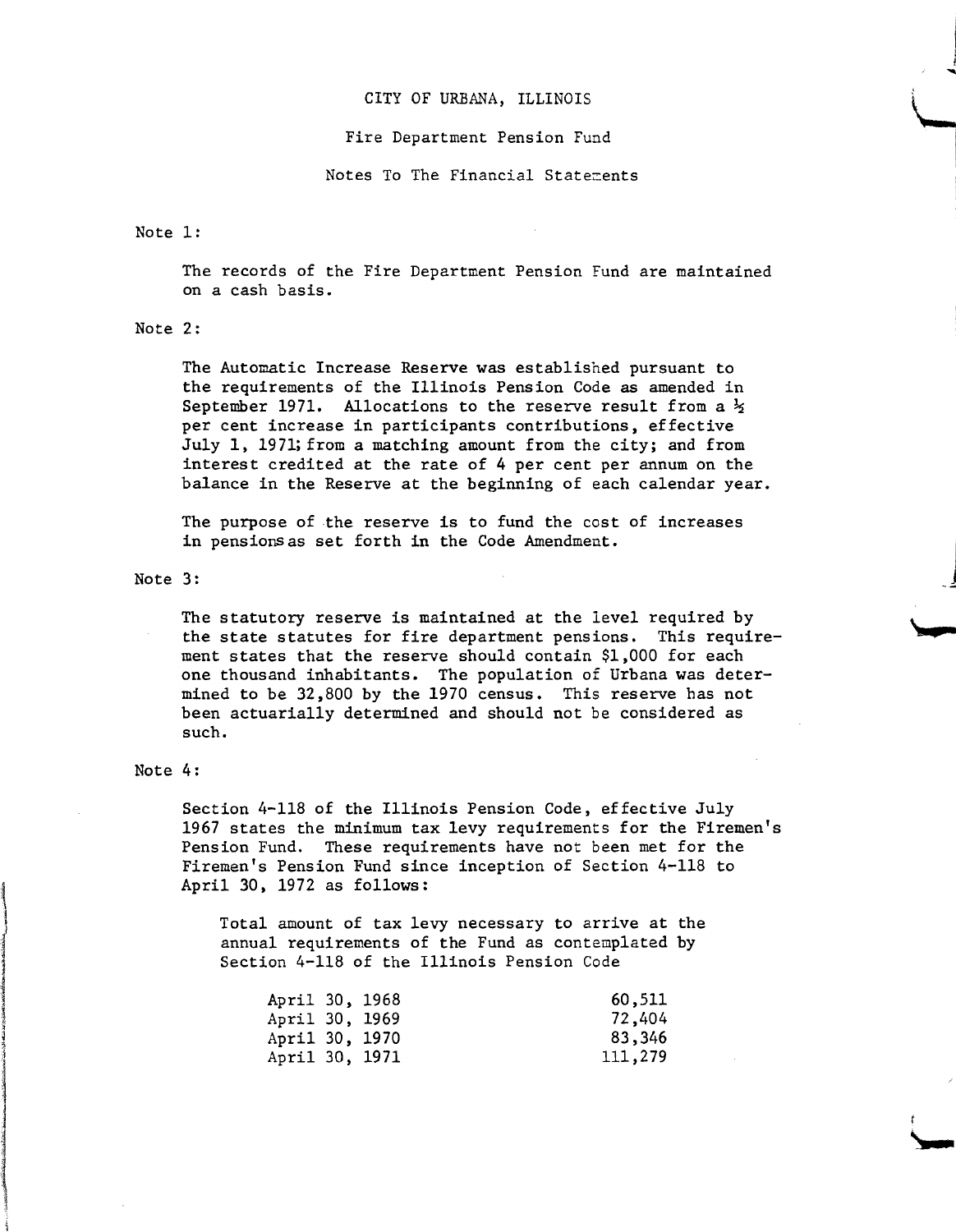#### Fire Department Pension Fund

Notes To The Financial Statements

#### Note 1:

The records of the Fire Department Pension Fund are maintained on a cash basis.

#### Note 2:

The Automatic Increase Reserve was established pursuant to the requirements of the Illinois Pension Code as amended in September 1971. Allocations to the reserve result from a  $\frac{1}{2}$ per cent increase in participants contributions, effective July 1, 1971; from a matching amount from the city; and from interest credited at the rate of 4 per cent per annum on the balance in the Reserve at the beginning of each calendar year.

The purpose of the reserve is to fund the cost of increases in pensionsas set forth in the Code Amendment.

#### Note 3:

The statutory reserve is maintained at the level required by the state statutes for fire department pensions. This requirement states that the reserve should contain \$1,000 for each one thousand inhabitants. The population of Urbana was determined to be 32,800 by the 1970 census. This reserve has not been actuarially determined and should not be considered as such.

#### Note 4:

Section 4-118 of the Illinois Pension Code, effective July 1967 states the minimum tax levy requirements for the Firemen's Pension Fund. These requirements have not been met for the Firemen's Pension Fund since inception of Section 4-118 to April 30, 1972 as follows:

Total amount of tax levy necessary to arrive at the annual requirements of the Fund as contemplated by Section 4-118 of the Illinois Pension Code

| April 30, 1968 |  | 60,511  |
|----------------|--|---------|
| April 30, 1969 |  | 72,404  |
| April 30, 1970 |  | 83,346  |
| April 30, 1971 |  | 111,279 |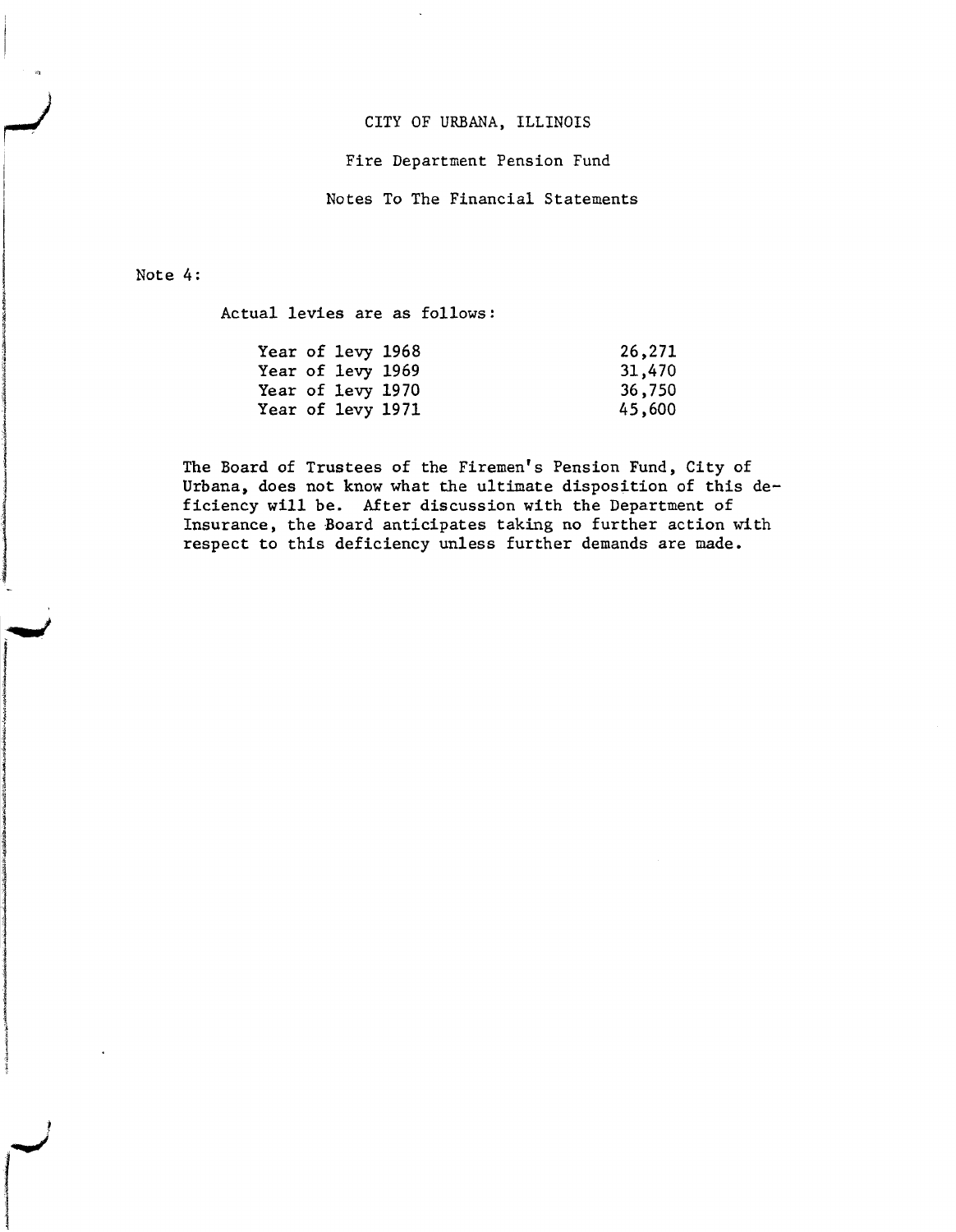#### Fire Department Pension Fund

Notes To The Financial Statements

#### Note 4:

i I

I

*PERSONARY REPORTS***ION I International** 

**International Control Control**<br>International Control<br>International Control Control Control Control Control Control Control Control Control Control Control Control Control Control Control Control Control Control Control Co

 $\frac{1}{2}$  ;  $\frac{1}{2}$  ;  $\frac{1}{2}$  ;  $\frac{1}{2}$  ;  $\frac{1}{2}$  ;  $\frac{1}{2}$  ;  $\frac{1}{2}$  ;  $\frac{1}{2}$  ;  $\frac{1}{2}$  ;  $\frac{1}{2}$  ;  $\frac{1}{2}$  ;  $\frac{1}{2}$  ;  $\frac{1}{2}$  ;  $\frac{1}{2}$  ;  $\frac{1}{2}$  ;  $\frac{1}{2}$  ;  $\frac{1}{2}$  ;  $\frac{1}{2}$  ;  $\frac{1$ 

**Congression** 

**haidastellinaa viitissä on** 

ina ka masa masa masa a sa mga masa na mga masa na mga masa na mga masa na mga masa na mga masa na mga masa na<br>Mga masa na mga masa na mga masa na mga masa na mga masa na mga masa na mga masa na mga masa na mga masa na mg

**Communication** 'j 1 International Control

..,I

**International Property** I the first party of the

Actual levies are as follows:

| Year of levy 1968 |  | 26,271 |
|-------------------|--|--------|
| Year of levy 1969 |  | 31,470 |
| Year of levy 1970 |  | 36,750 |
| Year of levy 1971 |  | 45,600 |

The Board of Trustees of the Firemen's Pension Fund, City of Urbana, does not know what the ultimate disposition of this deficiency will be. After discussion with the Department of Insurance, the Board anticipates taking no further action with respect to this deficiency unless further demands are made.